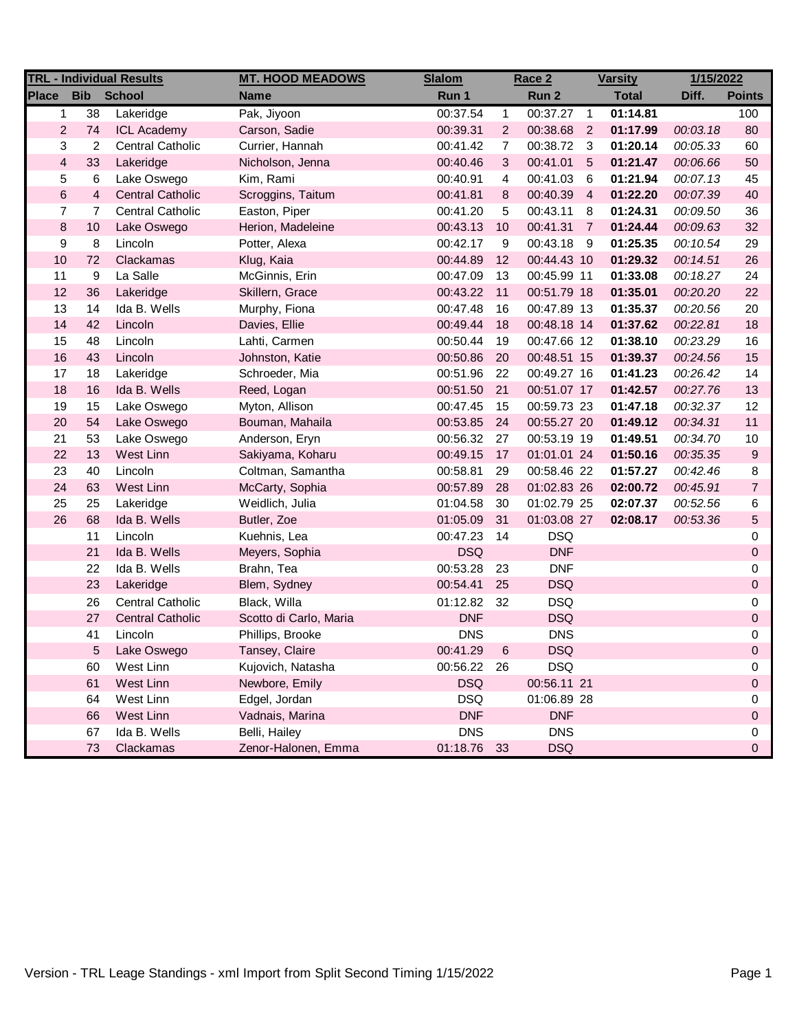| <b>TRL - Individual Results</b>             |                 |                         | <b>MT. HOOD MEADOWS</b> | <b>Slalom</b>               | Race 2         |             | <b>Varsity</b> |              | 1/15/2022 |                  |
|---------------------------------------------|-----------------|-------------------------|-------------------------|-----------------------------|----------------|-------------|----------------|--------------|-----------|------------------|
| <b>Place</b><br><b>Bib</b><br><b>School</b> |                 |                         | <b>Name</b>             | Run 1                       |                | Run 2       |                | <b>Total</b> | Diff.     | <b>Points</b>    |
| 1                                           | $\overline{38}$ | Lakeridge               | Pak, Jiyoon             | 00:37.54                    | $\mathbf{1}$   | 00:37.27    | $\overline{1}$ | 01:14.81     |           | 100              |
| $\overline{2}$                              | 74              | <b>ICL Academy</b>      | Carson, Sadie           | 00:39.31                    | $\overline{2}$ | 00:38.68    | $\overline{2}$ | 01:17.99     | 00:03.18  | 80               |
| 3                                           | 2               | <b>Central Catholic</b> | Currier, Hannah         | 00:41.42                    | $\overline{7}$ | 00:38.72    | - 3            | 01:20.14     | 00:05.33  | 60               |
| $\overline{\mathbf{4}}$                     | 33              | Lakeridge               | Nicholson, Jenna        | 00:40.46                    | 3              | 00:41.01    | 5              | 01:21.47     | 00:06.66  | 50               |
| 5                                           | $6\phantom{1}6$ | Lake Oswego             | Kim, Rami               | 00:40.91                    | 4              | 00:41.03    | 6              | 01:21.94     | 00:07.13  | 45               |
| 6                                           | $\overline{4}$  | <b>Central Catholic</b> | Scroggins, Taitum       | 00:41.81                    | 8              | 00:40.39    | $\overline{4}$ | 01:22.20     | 00:07.39  | 40               |
| $\overline{7}$                              | 7               | <b>Central Catholic</b> | Easton, Piper           | 00:41.20                    | 5              | 00:43.11    | 8              | 01:24.31     | 00:09.50  | 36               |
| $\bf 8$                                     | 10              | Lake Oswego             | Herion, Madeleine       | 00:43.13                    | 10             | 00:41.31    | $\overline{7}$ | 01:24.44     | 00:09.63  | 32               |
| $\boldsymbol{9}$                            | 8               | Lincoln                 | Potter, Alexa           | 00:42.17<br>9<br>00:43.18 9 |                | 01:25.35    | 00:10.54       | 29           |           |                  |
| 10                                          | 72              | Clackamas               | Klug, Kaia              | 00:44.89                    | 12             | 00:44.43 10 |                | 01:29.32     | 00:14.51  | 26               |
| 11                                          | 9               | La Salle                | McGinnis, Erin          | 00:47.09                    | 13             | 00:45.99 11 |                | 01:33.08     | 00:18.27  | 24               |
| 12                                          | 36              | Lakeridge               | Skillern, Grace         | 00:43.22                    | 11             | 00:51.79 18 |                | 01:35.01     | 00:20.20  | 22               |
| 13                                          | 14              | Ida B. Wells            | Murphy, Fiona           | 00:47.48                    | 16             | 00:47.89 13 |                | 01:35.37     | 00:20.56  | 20               |
| 14                                          | 42              | Lincoln                 | Davies, Ellie           | 00:49.44                    | 18             | 00:48.18 14 |                | 01:37.62     | 00:22.81  | 18               |
| 15                                          | 48              | Lincoln                 | Lahti, Carmen           | 00:50.44                    | 19             | 00:47.66 12 |                | 01:38.10     | 00:23.29  | 16               |
| $16$                                        | 43              | Lincoln                 | Johnston, Katie         | 00:50.86                    | 20             | 00:48.51 15 |                | 01:39.37     | 00:24.56  | 15               |
| 17                                          | 18              | Lakeridge               | Schroeder, Mia          | 00:51.96                    | 22             | 00:49.27 16 |                | 01:41.23     | 00:26.42  | 14               |
| 18                                          | 16              | Ida B. Wells            | Reed, Logan             | 00:51.50                    | 21             | 00:51.07 17 |                | 01:42.57     | 00:27.76  | 13               |
| 19                                          | 15              | Lake Oswego             | Myton, Allison          | 00:47.45                    | 15             | 00:59.73 23 |                | 01:47.18     | 00:32.37  | 12               |
| 20                                          | 54              | Lake Oswego             | Bouman, Mahaila         | 00:53.85                    | 24             | 00:55.27 20 |                | 01:49.12     | 00:34.31  | 11               |
| 21                                          | 53              | Lake Oswego             | Anderson, Eryn          | 00:56.32                    | 27             | 00:53.19 19 |                | 01:49.51     | 00:34.70  | 10               |
| 22                                          | 13              | West Linn               | Sakiyama, Koharu        | 00:49.15                    | 17             | 01:01.01 24 |                | 01:50.16     | 00:35.35  | $\boldsymbol{9}$ |
| 23                                          | 40              | Lincoln                 | Coltman, Samantha       | 00:58.81                    | 29             | 00:58.46 22 |                | 01:57.27     | 00:42.46  | 8                |
| 24                                          | 63              | West Linn               | McCarty, Sophia         | 00:57.89                    | 28             | 01:02.83 26 |                | 02:00.72     | 00:45.91  | $\overline{7}$   |
| 25                                          | 25              | Lakeridge               | Weidlich, Julia         | 01:04.58                    | 30             | 01:02.79 25 |                | 02:07.37     | 00:52.56  | 6                |
| 26                                          | 68              | Ida B. Wells            | Butler, Zoe             | 01:05.09                    | 31             | 01:03.08 27 |                | 02:08.17     | 00:53.36  | 5                |
|                                             | 11              | Lincoln                 | Kuehnis, Lea            | 00:47.23                    | 14             | <b>DSQ</b>  |                |              |           | 0                |
|                                             | 21              | Ida B. Wells            | Meyers, Sophia          | <b>DSQ</b>                  |                | <b>DNF</b>  |                |              |           | $\mathbf 0$      |
|                                             | 22              | Ida B. Wells            | Brahn, Tea              | 00:53.28                    | 23             | <b>DNF</b>  |                |              |           | 0                |
|                                             | 23              | Lakeridge               | Blem, Sydney            | 00:54.41                    | 25             | <b>DSQ</b>  |                |              |           | 0                |
|                                             | 26              | <b>Central Catholic</b> | Black, Willa            | 01:12.82                    | 32             | <b>DSQ</b>  |                |              |           | 0                |
|                                             | 27              | <b>Central Catholic</b> | Scotto di Carlo, Maria  | <b>DNF</b>                  |                | <b>DSQ</b>  |                |              |           | 0                |
|                                             | 41              | Lincoln                 | Phillips, Brooke        | <b>DNS</b>                  |                | <b>DNS</b>  |                |              |           | 0                |
|                                             | 5               | Lake Oswego             | Tansey, Claire          | 00:41.29                    | 6              | <b>DSQ</b>  |                |              |           | $\Omega$         |
|                                             | 60              | West Linn               | Kujovich, Natasha       | 00:56.22 26                 |                | <b>DSQ</b>  |                |              |           | 0                |
|                                             | 61              | West Linn               | Newbore, Emily          | <b>DSQ</b>                  |                | 00:56.11 21 |                |              |           | 0                |
|                                             | 64              | West Linn               | Edgel, Jordan           | <b>DSQ</b>                  |                | 01:06.89 28 |                |              |           | 0                |
|                                             | 66              | West Linn               | Vadnais, Marina         | <b>DNF</b>                  |                | <b>DNF</b>  |                |              |           | 0                |
|                                             | 67              | Ida B. Wells            | Belli, Hailey           | <b>DNS</b>                  |                | <b>DNS</b>  |                |              |           | 0                |
|                                             | 73              | Clackamas               | Zenor-Halonen, Emma     | 01:18.76 33                 |                | <b>DSQ</b>  |                |              |           | 0                |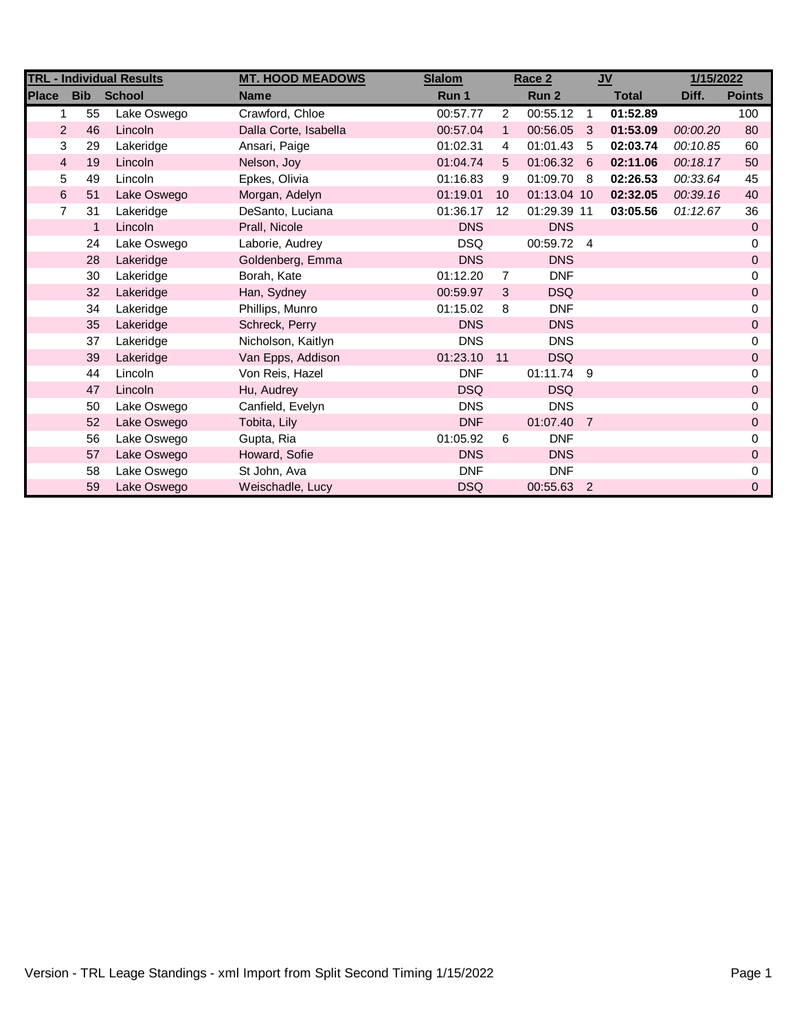| <b>TRL - Individual Results</b> |              |               | <b>MT. HOOD MEADOWS</b> | <b>Slalom</b> | Race 2       |             | $u$            |              | 1/15/2022 |               |
|---------------------------------|--------------|---------------|-------------------------|---------------|--------------|-------------|----------------|--------------|-----------|---------------|
| <b>Place</b>                    | <b>Bib</b>   | <b>School</b> | <b>Name</b>             | Run 1         |              | Run 2       |                | <b>Total</b> | Diff.     | <b>Points</b> |
|                                 | 55           | Lake Oswego   | Crawford, Chloe         | 00:57.77      | 2            | 00:55.12    | $\overline{1}$ | 01:52.89     |           | 100           |
| $\overline{2}$                  | 46           | Lincoln       | Dalla Corte, Isabella   | 00:57.04      | $\mathbf{1}$ | 00:56.05    | 3              | 01:53.09     | 00:00.20  | 80            |
| 3                               | 29           | Lakeridge     | Ansari, Paige           | 01:02.31      | 4            | 01:01.43    | -5             | 02:03.74     | 00:10.85  | 60            |
| 4                               | 19           | Lincoln       | Nelson, Joy             | 01:04.74      | 5            | 01:06.32    | 6              | 02:11.06     | 00:18.17  | 50            |
| 5                               | 49           | Lincoln       | Epkes, Olivia           | 01:16.83      | 9            | 01:09.70 8  |                | 02:26.53     | 00:33.64  | 45            |
| 6                               | 51           | Lake Oswego   | Morgan, Adelyn          | 01:19.01      | 10           | 01:13.04 10 |                | 02:32.05     | 00:39.16  | 40            |
| $\overline{7}$                  | 31           | Lakeridge     | DeSanto, Luciana        | 01:36.17      | 12           | 01:29.39 11 |                | 03:05.56     | 01:12.67  | 36            |
|                                 | $\mathbf{1}$ | Lincoln       | Prall, Nicole           | <b>DNS</b>    |              | <b>DNS</b>  |                |              |           | 0             |
|                                 | 24           | Lake Oswego   | Laborie, Audrey         | <b>DSQ</b>    |              | 00:59.72 4  |                |              |           | 0             |
|                                 | 28           | Lakeridge     | Goldenberg, Emma        | <b>DNS</b>    |              | <b>DNS</b>  |                |              |           | 0             |
|                                 | 30           | Lakeridge     | Borah, Kate             | 01:12.20      | 7            | <b>DNF</b>  |                |              |           | 0             |
|                                 | 32           | Lakeridge     | Han, Sydney             | 00:59.97      | 3            | <b>DSQ</b>  |                |              |           | 0             |
|                                 | 34           | Lakeridge     | Phillips, Munro         | 01:15.02      | 8            | <b>DNF</b>  |                |              |           | 0             |
|                                 | 35           | Lakeridge     | Schreck, Perry          | <b>DNS</b>    |              | <b>DNS</b>  |                |              |           | 0             |
|                                 | 37           | Lakeridge     | Nicholson, Kaitlyn      | <b>DNS</b>    |              | <b>DNS</b>  |                |              |           | 0             |
|                                 | 39           | Lakeridge     | Van Epps, Addison       | 01:23.10      | 11           | <b>DSQ</b>  |                |              |           | 0             |
|                                 | 44           | Lincoln       | Von Reis, Hazel         | <b>DNF</b>    |              | 01:11.74 9  |                |              |           | 0             |
|                                 | 47           | Lincoln       | Hu, Audrey              | <b>DSQ</b>    |              | <b>DSQ</b>  |                |              |           | 0             |
|                                 | 50           | Lake Oswego   | Canfield, Evelyn        | <b>DNS</b>    |              | <b>DNS</b>  |                |              |           | 0             |
|                                 | 52           | Lake Oswego   | Tobita, Lily            | <b>DNF</b>    |              | 01:07.40    | $\overline{7}$ |              |           | 0             |
|                                 | 56           | Lake Oswego   | Gupta, Ria              | 01:05.92      | 6            | <b>DNF</b>  |                |              |           | 0             |
|                                 | 57           | Lake Oswego   | Howard, Sofie           | <b>DNS</b>    |              | <b>DNS</b>  |                |              |           | 0             |
|                                 | 58           | Lake Oswego   | St John, Ava            | <b>DNF</b>    |              | <b>DNF</b>  |                |              |           | 0             |
|                                 | 59           | Lake Oswego   | Weischadle, Lucy        | <b>DSQ</b>    |              | 00:55.63 2  |                |              |           | 0             |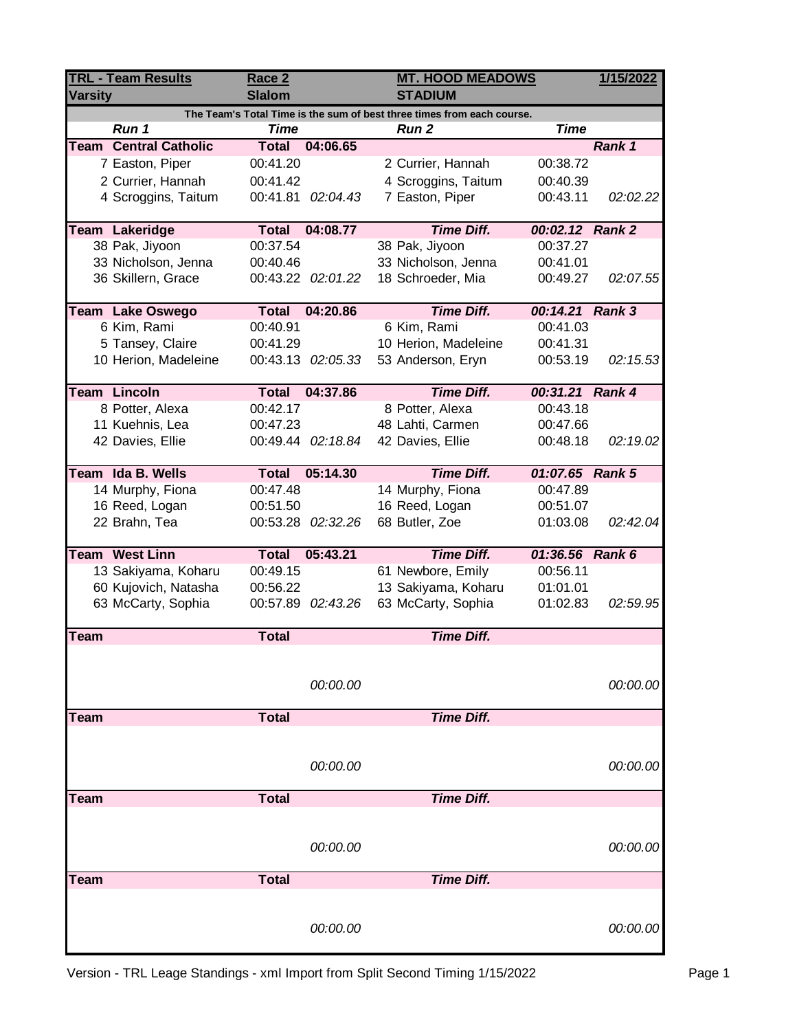| <b>TRL - Team Results</b><br><b>Varsity</b>                            |                              | Race 2<br><b>Slalom</b> |                   | <b>STADIUM</b>       | <b>MT. HOOD MEADOWS</b> |          |  |  |
|------------------------------------------------------------------------|------------------------------|-------------------------|-------------------|----------------------|-------------------------|----------|--|--|
| The Team's Total Time is the sum of best three times from each course. |                              |                         |                   |                      |                         |          |  |  |
|                                                                        | Run 1                        | <b>Time</b>             |                   | <b>Run 2</b>         | <b>Time</b>             |          |  |  |
|                                                                        | <b>Team Central Catholic</b> | <b>Total</b>            | 04:06.65          |                      |                         | Rank 1   |  |  |
|                                                                        | 7 Easton, Piper              | 00:41.20                |                   | 2 Currier, Hannah    | 00:38.72                |          |  |  |
|                                                                        | 2 Currier, Hannah            | 00:41.42                |                   | 4 Scroggins, Taitum  | 00:40.39                |          |  |  |
|                                                                        | 4 Scroggins, Taitum          | 00:41.81                | 02:04.43          | 7 Easton, Piper      | 00:43.11                | 02:02.22 |  |  |
|                                                                        | <b>Team Lakeridge</b>        | <b>Total</b>            | 04:08.77          | <b>Time Diff.</b>    | 00:02.12 Rank 2         |          |  |  |
|                                                                        | 38 Pak, Jiyoon               | 00:37.54                |                   | 38 Pak, Jiyoon       | 00:37.27                |          |  |  |
|                                                                        | 33 Nicholson, Jenna          | 00:40.46                |                   | 33 Nicholson, Jenna  | 00:41.01                |          |  |  |
|                                                                        | 36 Skillern, Grace           |                         | 00:43.22 02:01.22 | 18 Schroeder, Mia    | 00:49.27                | 02:07.55 |  |  |
|                                                                        | Team Lake Oswego             | <b>Total</b>            | 04:20.86          | <b>Time Diff.</b>    | 00:14.21 Rank 3         |          |  |  |
|                                                                        | 6 Kim, Rami                  | 00:40.91                |                   | 6 Kim, Rami          | 00:41.03                |          |  |  |
|                                                                        | 5 Tansey, Claire             | 00:41.29                |                   | 10 Herion, Madeleine | 00:41.31                |          |  |  |
|                                                                        | 10 Herion, Madeleine         |                         | 00:43.13 02:05.33 | 53 Anderson, Eryn    | 00:53.19                | 02:15.53 |  |  |
|                                                                        |                              |                         |                   |                      |                         |          |  |  |
|                                                                        | <b>Team Lincoln</b>          | <b>Total</b>            | 04:37.86          | <b>Time Diff.</b>    | 00:31.21 Rank 4         |          |  |  |
|                                                                        | 8 Potter, Alexa              | 00:42.17                |                   | 8 Potter, Alexa      | 00:43.18                |          |  |  |
|                                                                        | 11 Kuehnis, Lea              | 00:47.23                |                   | 48 Lahti, Carmen     | 00:47.66                |          |  |  |
|                                                                        | 42 Davies, Ellie             |                         | 00:49.44 02:18.84 | 42 Davies, Ellie     | 00:48.18                | 02:19.02 |  |  |
|                                                                        | Team Ida B. Wells            | <b>Total</b>            | 05:14.30          | <b>Time Diff.</b>    | 01:07.65 Rank 5         |          |  |  |
|                                                                        | 14 Murphy, Fiona             | 00:47.48                |                   | 14 Murphy, Fiona     | 00:47.89                |          |  |  |
|                                                                        | 16 Reed, Logan               | 00:51.50                |                   | 16 Reed, Logan       | 00:51.07                |          |  |  |
|                                                                        | 22 Brahn, Tea                |                         | 00:53.28 02:32.26 | 68 Butler, Zoe       | 01:03.08                | 02:42.04 |  |  |
|                                                                        | Team West Linn               | <b>Total</b>            | 05:43.21          | <b>Time Diff.</b>    | 01:36.56 Rank 6         |          |  |  |
|                                                                        | 13 Sakiyama, Koharu          | 00:49.15                |                   | 61 Newbore, Emily    | 00:56.11                |          |  |  |
|                                                                        | 60 Kujovich, Natasha         | 00:56.22                |                   | 13 Sakiyama, Koharu  | 01:01.01                |          |  |  |
|                                                                        | 63 McCarty, Sophia           |                         | 00:57.89 02:43.26 | 63 McCarty, Sophia   | 01:02.83                | 02:59.95 |  |  |
|                                                                        |                              |                         |                   |                      |                         |          |  |  |
| <b>Team</b>                                                            |                              | <b>Total</b>            |                   | <b>Time Diff.</b>    |                         |          |  |  |
|                                                                        |                              |                         |                   |                      |                         |          |  |  |
|                                                                        |                              |                         | 00:00.00          |                      |                         | 00:00.00 |  |  |
| Team                                                                   |                              | <b>Total</b>            |                   | <b>Time Diff.</b>    |                         |          |  |  |
|                                                                        |                              |                         |                   |                      |                         |          |  |  |
|                                                                        |                              |                         |                   |                      |                         |          |  |  |
|                                                                        |                              |                         | 00:00.00          |                      |                         | 00:00.00 |  |  |
| Team                                                                   |                              | <b>Total</b>            |                   | <b>Time Diff.</b>    |                         |          |  |  |
|                                                                        |                              |                         |                   |                      |                         |          |  |  |
|                                                                        |                              |                         | 00:00.00          |                      |                         | 00:00.00 |  |  |
|                                                                        |                              |                         |                   |                      |                         |          |  |  |
| Team                                                                   |                              | <b>Total</b>            |                   | <b>Time Diff.</b>    |                         |          |  |  |
|                                                                        |                              |                         |                   |                      |                         |          |  |  |
|                                                                        |                              |                         | 00:00.00          |                      |                         | 00:00.00 |  |  |
|                                                                        |                              |                         |                   |                      |                         |          |  |  |